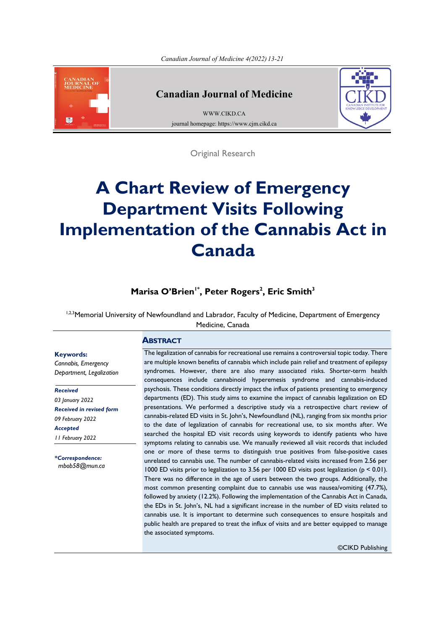

**Keywords:** *Cannabis, Emergency Department, Legalization*

*Received 03 January 2022*

*Received in revised form 09 February 2022 Accepted 11 February 2022*

*\*Correspondence: [mbob58@mun.ca](mailto:mbob58@mun.ca)*

#### **Canadian Journal of Medicine**

[WWW.CIKD.CA](http://www.cikd.ca/) journal homepage: https://www.cjm.cikd.ca



Original Research

# **A Chart Review of Emergency Department Visits Following Implementation of the Cannabis Act in Canada**

# **<sup>3</sup> , Eric Smith <sup>2</sup> , Peter Rogers Marisa O'Brien1\***

1,2,3 Memorial University of Newfoundland and Labrador, Faculty of Medicine, Department of Emergency Medicine, Canada

#### **ABSTRACT**

The legalization of cannabis for recreational use remains a controversial topic today. There are multiple known benefits of cannabis which include pain relief and treatment of epilepsy syndromes. However, there are also many associated risks. Shorter-term health consequences include cannabinoid hyperemesis syndrome and cannabis-induced psychosis. These conditions directly impact the influx of patients presenting to emergency departments (ED). This study aims to examine the impact of cannabis legalization on ED presentations. We performed a descriptive study via a retrospective chart review of cannabis-related ED visits in St. John's, Newfoundland (NL), ranging from six months prior to the date of legalization of cannabis for recreational use, to six months after. We searched the hospital ED visit records using keywords to identify patients who have symptoms relating to cannabis use. We manually reviewed all visit records that included one or more of these terms to distinguish true positives from false-positive cases unrelated to cannabis use. The number of cannabis-related visits increased from 2.56 per 1000 ED visits prior to legalization to 3.56 per 1000 ED visits post legalization (p < 0.01). There was no difference in the age of users between the two groups. Additionally, the most common presenting complaint due to cannabis use was nausea/vomiting (47.7%), followed by anxiety (12.2%). Following the implementation of the Cannabis Act in Canada, the EDs in St. John's, NL had a significant increase in the number of ED visits related to cannabis use. It is important to determine such consequences to ensure hospitals and public health are prepared to treat the influx of visits and are better equipped to manage the associated symptoms.

©CIKD Publishing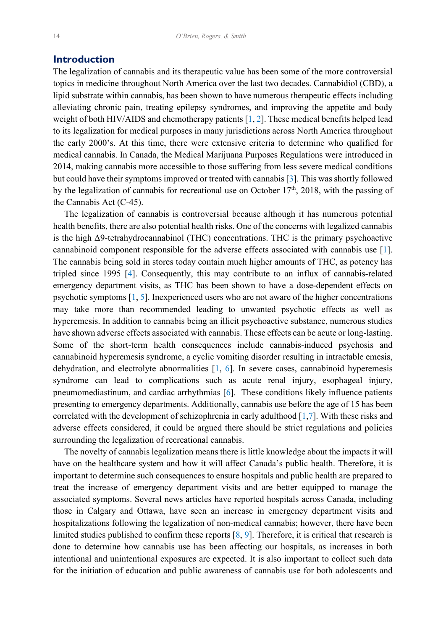#### <span id="page-1-0"></span>**Introduction**

The legalization of cannabis and its therapeutic value has been some of the more controversial topics in medicine throughout North America over the last two decades. Cannabidiol (CBD), a lipid substrate within cannabis, has been shown to have numerous therapeutic effects including alleviating chronic pain, treating epilepsy syndromes, and improving the appetite and body weight of both HIV/AIDS and chemotherapy patients [\[1](#page-7-0), [2\]](#page-7-0). These medical benefits helped lead to its legalization for medical purposes in many jurisdictions across North America throughout the early 2000's. At this time, there were extensive criteria to determine who qualified for medical cannabis. In Canada, the Medical Marijuana Purposes Regulations were introduced in 2014, making cannabis more accessible to those suffering from less severe medical conditions but could have their symptoms improved or treated with cannabis [\[3](#page-7-0)]. This was shortly followed by the legalization of cannabis for recreational use on October  $17<sup>th</sup>$ , 2018, with the passing of the Cannabis Act (C-45).

 The legalization of cannabis is controversial because although it has numerous potential health benefits, there are also potential health risks. One of the concerns with legalized cannabis is the high Δ9-tetrahydrocannabinol (THC) concentrations. THC is the primary psychoactive cannabinoid component responsible for the adverse effects associated with cannabis use [[1\]](#page-7-0). The cannabis being sold in stores today contain much higher amounts of THC, as potency has tripled since 1995 [[4\]](#page-7-0). Consequently, this may contribute to an influx of cannabis-related emergency department visits, as THC has been shown to have a dose-dependent effects on psychotic symptoms [[1, 5](#page-7-0)]. Inexperienced users who are not aware of the higher concentrations may take more than recommended leading to unwanted psychotic effects as well as hyperemesis. In addition to cannabis being an illicit psychoactive substance, numerous studies have shown adverse effects associated with cannabis. These effects can be acute or long-lasting. Some of the short-term health consequences include cannabis-induced psychosis and cannabinoid hyperemesis syndrome, a cyclic vomiting disorder resulting in intractable emesis, dehydration, and electrolyte abnormalities [\[1](#page-7-0), [6\]](#page-7-0). In severe cases, cannabinoid hyperemesis syndrome can lead to complications such as acute renal injury, esophageal injury, pneumomediastinum, and cardiac arrhythmias [\[6](#page-7-0)]. These conditions likely influence patients presenting to emergency departments. Additionally, cannabis use before the age of 15 has been correlated with the development of schizophrenia in early adulthood  $[1,7]$  $[1,7]$ . With these risks and adverse effects considered, it could be argued there should be strict regulations and policies surrounding the legalization of recreational cannabis.

 The novelty of cannabis legalization means there is little knowledge about the impacts it will have on the healthcare system and how it will affect Canada's public health. Therefore, it is important to determine such consequences to ensure hospitals and public health are prepared to treat the increase of emergency department visits and are better equipped to manage the associated symptoms. Several news articles have reported hospitals across Canada, including those in Calgary and Ottawa, have seen an increase in emergency department visits and hospitalizations following the legalization of non-medical cannabis; however, there have been limited studies published to confirm these reports [[8,](#page-7-0) [9](#page-7-0)]. Therefore, it is critical that research is done to determine how cannabis use has been affecting our hospitals, as increases in both intentional and unintentional exposures are expected. It is also important to collect such data for the initiation of education and public awareness of cannabis use for both adolescents and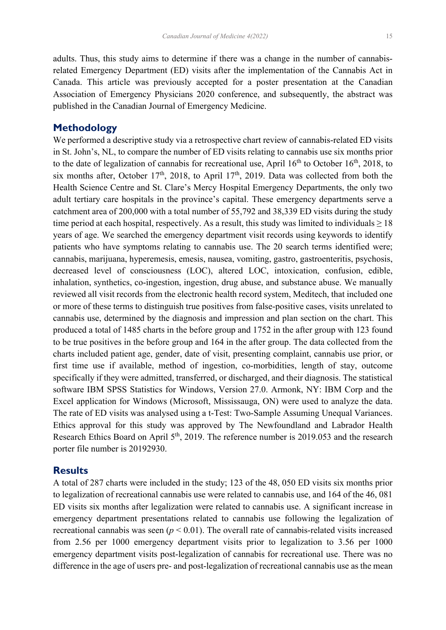adults. Thus, this study aims to determine if there was a change in the number of cannabisrelated Emergency Department (ED) visits after the implementation of the Cannabis Act in Canada. This article was previously accepted for a poster presentation at the Canadian Association of Emergency Physicians 2020 conference, and subsequently, the abstract was published in the Canadian Journal of Emergency Medicine.

## **Methodology**

We performed a descriptive study via a retrospective chart review of cannabis-related ED visits in St. John's, NL, to compare the number of ED visits relating to cannabis use six months prior to the date of legalization of cannabis for recreational use, April  $16<sup>th</sup>$  to October  $16<sup>th</sup>$ , 2018, to six months after, October 17<sup>th</sup>, 2018, to April 17<sup>th</sup>, 2019. Data was collected from both the Health Science Centre and St. Clare's Mercy Hospital Emergency Departments, the only two adult tertiary care hospitals in the province's capital. These emergency departments serve a catchment area of 200,000 with a total number of 55,792 and 38,339 ED visits during the study time period at each hospital, respectively. As a result, this study was limited to individuals  $\geq 18$ years of age. We searched the emergency department visit records using keywords to identify patients who have symptoms relating to cannabis use. The 20 search terms identified were; cannabis, marijuana, hyperemesis, emesis, nausea, vomiting, gastro, gastroenteritis, psychosis, decreased level of consciousness (LOC), altered LOC, intoxication, confusion, edible, inhalation, synthetics, co-ingestion, ingestion, drug abuse, and substance abuse. We manually reviewed all visit records from the electronic health record system, Meditech, that included one or more of these terms to distinguish true positives from false-positive cases, visits unrelated to cannabis use, determined by the diagnosis and impression and plan section on the chart. This produced a total of 1485 charts in the before group and 1752 in the after group with 123 found to be true positives in the before group and 164 in the after group. The data collected from the charts included patient age, gender, date of visit, presenting complaint, cannabis use prior, or first time use if available, method of ingestion, co-morbidities, length of stay, outcome specifically if they were admitted, transferred, or discharged, and their diagnosis. The statistical software IBM SPSS Statistics for Windows, Version 27.0. Armonk, NY: IBM Corp and the Excel application for Windows (Microsoft, Mississauga, ON) were used to analyze the data. The rate of ED visits was analysed using a t-Test: Two-Sample Assuming Unequal Variances. Ethics approval for this study was approved by The Newfoundland and Labrador Health Research Ethics Board on April  $5<sup>th</sup>$ , 2019. The reference number is 2019.053 and the research porter file number is 20192930.

## **Results**

A total of 287 charts were included in the study; 123 of the 48, 050 ED visits six months prior to legalization of recreational cannabis use were related to cannabis use, and 164 of the 46, 081 ED visits six months after legalization were related to cannabis use. A significant increase in emergency department presentations related to cannabis use following the legalization of recreational cannabis was seen  $(p < 0.01)$ . The overall rate of cannabis-related visits increased from 2.56 per 1000 emergency department visits prior to legalization to 3.56 per 1000 emergency department visits post-legalization of cannabis for recreational use. There was no difference in the age of users pre- and post-legalization of recreational cannabis use as the mean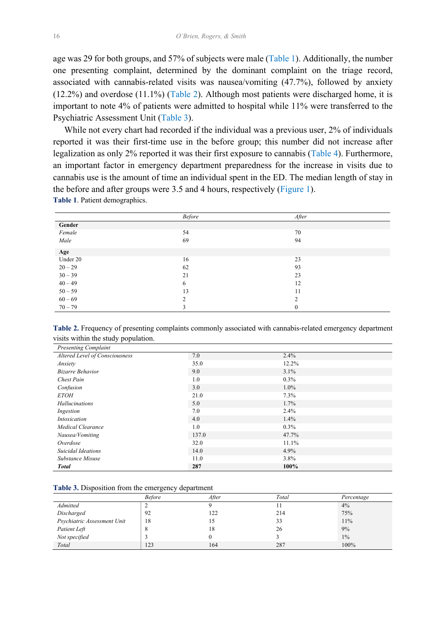age was 29 for both groups, and 57% of subjects were male (Table 1). Additionally, the number one presenting complaint, determined by the dominant complaint on the triage record, associated with cannabis-related visits was nausea/vomiting (47.7%), followed by anxiety (12.2%) and overdose (11.1%) (Table 2). Although most patients were discharged home, it is important to note 4% of patients were admitted to hospital while 11% were transferred to the Psychiatric Assessment Unit (Table 3).

 While not every chart had recorded if the individual was a previous user, 2% of individuals reported it was their first-time use in the before group; this number did not increase after legalization as only 2% reported it was their first exposure to cannabis [\(Table 4\)](#page-4-0). Furthermore, an important factor in emergency department preparedness for the increase in visits due to cannabis use is the amount of time an individual spent in the ED. The median length of stay in the before and after groups were 3.5 and 4 hours, respectively [\(Figure 1\)](#page-4-0). **Table 1**. Patient demographics.

|           | <b>Before</b> | After          |
|-----------|---------------|----------------|
| Gender    |               |                |
| Female    | 54            | 70             |
| Male      | 69            | 94             |
| Age       |               |                |
| Under 20  | 16            | 23             |
| $20 - 29$ | 62            | 93             |
| $30 - 39$ | 21            | 23             |
| $40 - 49$ | 6             | 12             |
| $50 - 59$ | 13            | 11             |
| $60 - 69$ | 2             | $\overline{c}$ |
| $70 - 79$ | 3             | $\mathbf{0}$   |

**Table 2.** Frequency of presenting complaints commonly associated with cannabis-related emergency department visits within the study population.

| <b>Presenting Complaint</b>    |       |         |
|--------------------------------|-------|---------|
| Altered Level of Consciousness | 7.0   | $2.4\%$ |
| Anxiety                        | 35.0  | 12.2%   |
| <b>Bizarre Behavior</b>        | 9.0   | $3.1\%$ |
| <b>Chest Pain</b>              | 1.0   | $0.3\%$ |
| Confusion                      | 3.0   | $1.0\%$ |
| <b>ETOH</b>                    | 21.0  | 7.3%    |
| Hallucinations                 | 5.0   | $1.7\%$ |
| Ingestion                      | 7.0   | $2.4\%$ |
| Intoxication                   | 4.0   | $1.4\%$ |
| Medical Clearance              | 1.0   | $0.3\%$ |
| Nausea/Vomiting                | 137.0 | 47.7%   |
| Overdose                       | 32.0  | 11.1%   |
| <b>Suicidal Ideations</b>      | 14.0  | $4.9\%$ |
| Substance Misuse               | 11.0  | $3.8\%$ |
| <b>Total</b>                   | 287   | 100%    |

|  |  | <b>Table 3.</b> Disposition from the emergency department |
|--|--|-----------------------------------------------------------|
|  |  |                                                           |

|                             | <b>Before</b> | After | Total | Percentage |
|-----------------------------|---------------|-------|-------|------------|
| Admitted                    |               |       |       | 4%         |
| Discharged                  | 92            | 122   | 214   | 75%        |
| Psychiatric Assessment Unit | 18            |       | 33    | 11%        |
| Patient Left                | O             | 18    | 26    | 9%         |
| Not specified               |               |       |       | $1\%$      |
| Total                       | 123           | 164   | 287   | 100%       |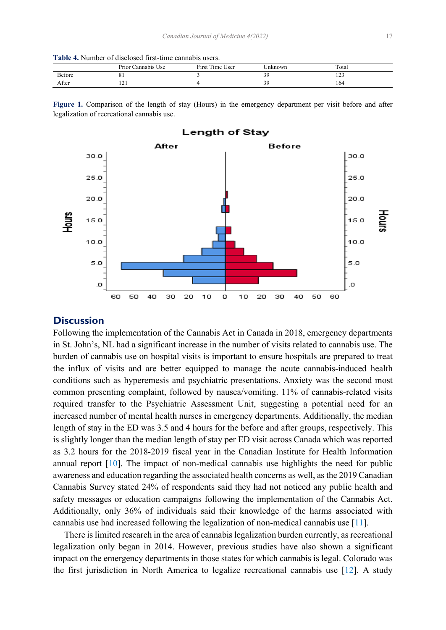<span id="page-4-0"></span>

| <b>Table 4.</b> Number of disclosed first-time cannabis users. |  |  |  |  |  |  |  |
|----------------------------------------------------------------|--|--|--|--|--|--|--|
|----------------------------------------------------------------|--|--|--|--|--|--|--|

|               | $\sim$ $\sim$<br>$\cdots$<br>Prior'<br>Cannabis C<br>Use | $\sim$ $\sim$<br>First<br>$\sim$ $\sim$<br>1 <sub>me</sub><br>Jser | <i>Jnknown</i> | Total            |
|---------------|----------------------------------------------------------|--------------------------------------------------------------------|----------------|------------------|
| <b>Before</b> |                                                          |                                                                    |                | $\sim$<br>$\sim$ |
| After         | $\sqrt{1}$                                               |                                                                    | ∼              | 164              |

**Figure 1.** Comparison of the length of stay (Hours) in the emergency department per visit before and after legalization of recreational cannabis use.



## **Discussion**

Following the implementation of the Cannabis Act in Canada in 2018, emergency departments in St. John's, NL had a significant increase in the number of visits related to cannabis use. The burden of cannabis use on hospital visits is important to ensure hospitals are prepared to treat the influx of visits and are better equipped to manage the acute cannabis-induced health conditions such as hyperemesis and psychiatric presentations. Anxiety was the second most common presenting complaint, followed by nausea/vomiting. 11% of cannabis-related visits required transfer to the Psychiatric Assessment Unit, suggesting a potential need for an increased number of mental health nurses in emergency departments. Additionally, the median length of stay in the ED was 3.5 and 4 hours for the before and after groups, respectively. This is slightly longer than the median length of stay per ED visit across Canada which was reported as 3.2 hours for the 2018-2019 fiscal year in the Canadian Institute for Health Information annual report [\[10](#page-7-0)]. The impact of non-medical cannabis use highlights the need for public awareness and education regarding the associated health concerns as well, as the 2019 Canadian Cannabis Survey stated 24% of respondents said they had not noticed any public health and safety messages or education campaigns following the implementation of the Cannabis Act. Additionally, only 36% of individuals said their knowledge of the harms associated with cannabis use had increased following the legalization of non-medical cannabis use [[11\]](#page-7-0).

 There is limited research in the area of cannabis legalization burden currently, as recreational legalization only began in 2014. However, previous studies have also shown a significant impact on the emergency departments in those states for which cannabis is legal. Colorado was the first jurisdiction in North America to legalize recreational cannabis use [\[12](#page-7-0)]. A study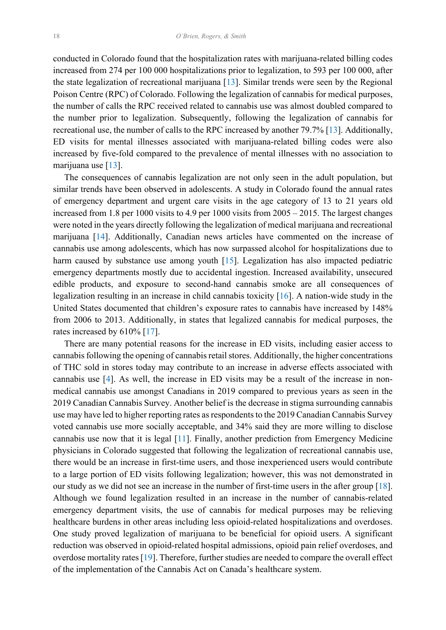<span id="page-5-0"></span>conducted in Colorado found that the hospitalization rates with marijuana-related billing codes increased from 274 per 100 000 hospitalizations prior to legalization, to 593 per 100 000, after the state legalization of recreational marijuana [[13](#page-7-0)]. Similar trends were seen by the Regional Poison Centre (RPC) of Colorado. Following the legalization of cannabis for medical purposes, the number of calls the RPC received related to cannabis use was almost doubled compared to the number prior to legalization. Subsequently, following the legalization of cannabis for recreational use, the number of calls to the RPC increased by another 79.7% [\[13](#page-7-0)]. Additionally, ED visits for mental illnesses associated with marijuana-related billing codes were also increased by five-fold compared to the prevalence of mental illnesses with no association to marijuana use [[13\]](#page-7-0).

 The consequences of cannabis legalization are not only seen in the adult population, but similar trends have been observed in adolescents. A study in Colorado found the annual rates of emergency department and urgent care visits in the age category of 13 to 21 years old increased from 1.8 per 1000 visits to 4.9 per 1000 visits from 2005 – 2015. The largest changes were noted in the years directly following the legalization of medical marijuana and recreational marijuana [\[14](#page-8-0)]. Additionally, Canadian news articles have commented on the increase of cannabis use among adolescents, which has now surpassed alcohol for hospitalizations due to harm caused by substance use among youth [\[15](#page-8-0)]. Legalization has also impacted pediatric emergency departments mostly due to accidental ingestion. Increased availability, unsecured edible products, and exposure to second-hand cannabis smoke are all consequences of legalization resulting in an increase in child cannabis toxicity [[16\]](#page-8-0). A nation-wide study in the United States documented that children's exposure rates to cannabis have increased by 148% from 2006 to 2013. Additionally, in states that legalized cannabis for medical purposes, the rates increased by 610% [[17\]](#page-8-0).

 There are many potential reasons for the increase in ED visits, including easier access to cannabis following the opening of cannabis retail stores. Additionally, the higher concentrations of THC sold in stores today may contribute to an increase in adverse effects associated with cannabis use [[4\]](#page-7-0). As well, the increase in ED visits may be a result of the increase in nonmedical cannabis use amongst Canadians in 2019 compared to previous years as seen in the 2019 Canadian Cannabis Survey. Another belief is the decrease in stigma surrounding cannabis use may have led to higher reporting rates as respondents to the 2019 Canadian Cannabis Survey voted cannabis use more socially acceptable, and 34% said they are more willing to disclose cannabis use now that it is legal [\[11](#page-7-0)]. Finally, another prediction from Emergency Medicine physicians in Colorado suggested that following the legalization of recreational cannabis use, there would be an increase in first-time users, and those inexperienced users would contribute to a large portion of ED visits following legalization; however, this was not demonstrated in our study as we did not see an increase in the number of first-time users in the after group [[18\]](#page-8-0). Although we found legalization resulted in an increase in the number of cannabis-related emergency department visits, the use of cannabis for medical purposes may be relieving healthcare burdens in other areas including less opioid-related hospitalizations and overdoses. One study proved legalization of marijuana to be beneficial for opioid users. A significant reduction was observed in opioid-related hospital admissions, opioid pain relief overdoses, and overdose mortality rates [[19](#page-8-0)]. Therefore, further studies are needed to compare the overall effect of the implementation of the Cannabis Act on Canada's healthcare system.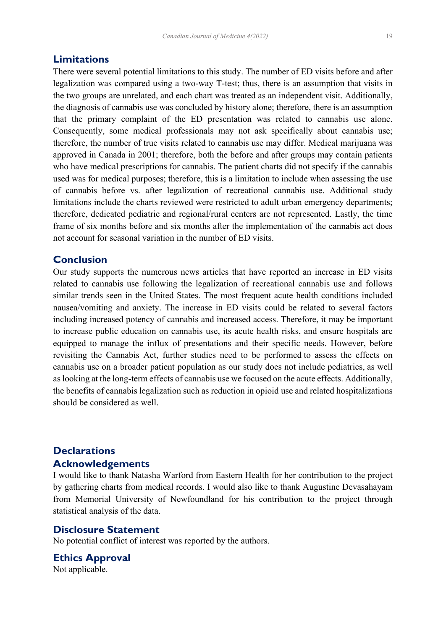There were several potential limitations to this study. The number of ED visits before and after legalization was compared using a two-way T-test; thus, there is an assumption that visits in the two groups are unrelated, and each chart was treated as an independent visit. Additionally, the diagnosis of cannabis use was concluded by history alone; therefore, there is an assumption that the primary complaint of the ED presentation was related to cannabis use alone. Consequently, some medical professionals may not ask specifically about cannabis use; therefore, the number of true visits related to cannabis use may differ. Medical marijuana was approved in Canada in 2001; therefore, both the before and after groups may contain patients who have medical prescriptions for cannabis. The patient charts did not specify if the cannabis used was for medical purposes; therefore, this is a limitation to include when assessing the use of cannabis before vs. after legalization of recreational cannabis use. Additional study limitations include the charts reviewed were restricted to adult urban emergency departments; therefore, dedicated pediatric and regional/rural centers are not represented. Lastly, the time frame of six months before and six months after the implementation of the cannabis act does not account for seasonal variation in the number of ED visits.

## **Conclusion**

Our study supports the numerous news articles that have reported an increase in ED visits related to cannabis use following the legalization of recreational cannabis use and follows similar trends seen in the United States. The most frequent acute health conditions included nausea/vomiting and anxiety. The increase in ED visits could be related to several factors including increased potency of cannabis and increased access. Therefore, it may be important to increase public education on cannabis use, its acute health risks, and ensure hospitals are equipped to manage the influx of presentations and their specific needs. However, before revisiting the Cannabis Act, further studies need to be performed to assess the effects on cannabis use on a broader patient population as our study does not include pediatrics, as well as looking at the long-term effects of cannabis use we focused on the acute effects. Additionally, the benefits of cannabis legalization such as reduction in opioid use and related hospitalizations should be considered as well.

# **Declarations Acknowledgements**

I would like to thank Natasha Warford from Eastern Health for her contribution to the project by gathering charts from medical records. I would also like to thank Augustine Devasahayam from Memorial University of Newfoundland for his contribution to the project through statistical analysis of the data.

## **Disclosure Statement**

No potential conflict of interest was reported by the authors.

**Ethics Approval** Not applicable.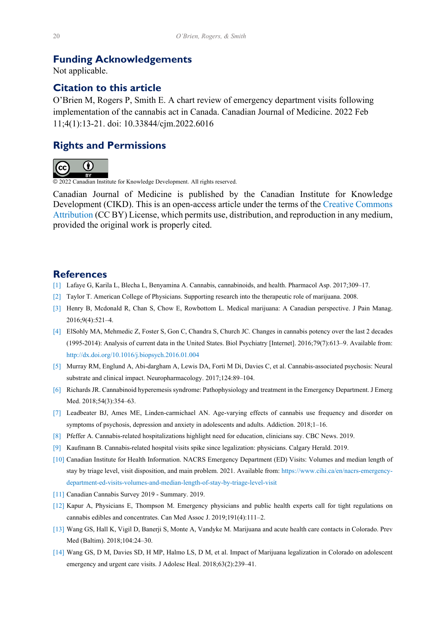## <span id="page-7-0"></span>**Funding Acknowledgements**

Not applicable.

# **Citation to this article**

O'Brien M, Rogers P, Smith E. A chart review of emergency department visits following implementation of the cannabis act in Canada. Canadian Journal of Medicine. 2022 Feb 11;4(1):13-21. doi: 10.33844/cjm.2022.6016

# **Rights and Permissions**



© 2022 Canadian Institute for Knowledge Development. All rights reserved.

Canadian Journal of Medicine is published by the Canadian Institute for Knowledge Development (CIKD). This is an open-access article under the terms of the [Creative Commons](https://creativecommons.org/licenses/by/4.0/)  [Attribution](https://creativecommons.org/licenses/by/4.0/) (CC BY) License, which permits use, distribution, and reproduction in any medium, provided the original work is properly cited.

#### **References**

- [\[1\]](#page-1-0) Lafaye G, Karila L, Blecha L, Benyamina A. Cannabis, cannabinoids, and health. Pharmacol Asp. 2017;309–17.
- [\[2\]](#page-1-0) Taylor T. American College of Physicians. Supporting research into the therapeutic role of marijuana. 2008.
- [\[3\]](#page-1-0) Henry B, Mcdonald R, Chan S, Chow E, Rowbottom L. Medical marijuana: A Canadian perspective. J Pain Manag. 2016;9(4):521–4.
- [\[4\]](#page-1-0) ElSohly MA, Mehmedic Z, Foster S, Gon C, Chandra S, Church JC. Changes in cannabis potency over the last 2 decades (1995-2014): Analysis of current data in the United States. Biol Psychiatry [Internet]. 2016;79(7):613–9. Available from: http://dx.doi.org/10.1016/j.biopsych.2016.01.004
- [\[5\]](#page-1-0) Murray RM, Englund A, Abi-dargham A, Lewis DA, Forti M Di, Davies C, et al. Cannabis-associated psychosis: Neural substrate and clinical impact. Neuropharmacology. 2017;124:89–104.
- [\[6\]](#page-1-0) Richards JR. Cannabinoid hyperemesis syndrome: Pathophysiology and treatment in the Emergency Department. J Emerg Med. 2018;54(3):354–63.
- [\[7\]](#page-1-0) Leadbeater BJ, Ames ME, Linden-carmichael AN. Age-varying effects of cannabis use frequency and disorder on symptoms of psychosis, depression and anxiety in adolescents and adults. Addiction. 2018;1–16.
- [\[8\]](#page-1-0) Pfeffer A. Cannabis-related hospitalizations highlight need for education, clinicians say. CBC News. 2019.
- [\[9\]](#page-1-0) Kaufmann B. Cannabis-related hospital visits spike since legalization: physicians. Calgary Herald. 2019.
- [\[10\]](#page-4-0) Canadian Institute for Health Information. NACRS Emergency Department (ED) Visits: Volumes and median length of stay by triage level, visit disposition, and main problem. 2021. Available from: https://www.cihi.ca/en/nacrs-emergencydepartment-ed-visits-volumes-and-median-length-of-stay-by-triage-level-visit
- [\[11\]](#page-4-0) Canadian Cannabis Survey 2019 Summary. 2019.
- [\[12\]](#page-4-0) Kapur A, Physicians E, Thompson M. Emergency physicians and public health experts call for tight regulations on cannabis edibles and concentrates. Can Med Assoc J. 2019;191(4):111–2.
- [\[13\]](#page-4-0) Wang GS, Hall K, Vigil D, Banerji S, Monte A, Vandyke M. Marijuana and acute health care contacts in Colorado. Prev Med (Baltim). 2018;104:24–30.
- [\[14\]](#page-5-0) Wang GS, D M, Davies SD, H MP, Halmo LS, D M, et al. Impact of Marijuana legalization in Colorado on adolescent emergency and urgent care visits. J Adolesc Heal. 2018;63(2):239–41.